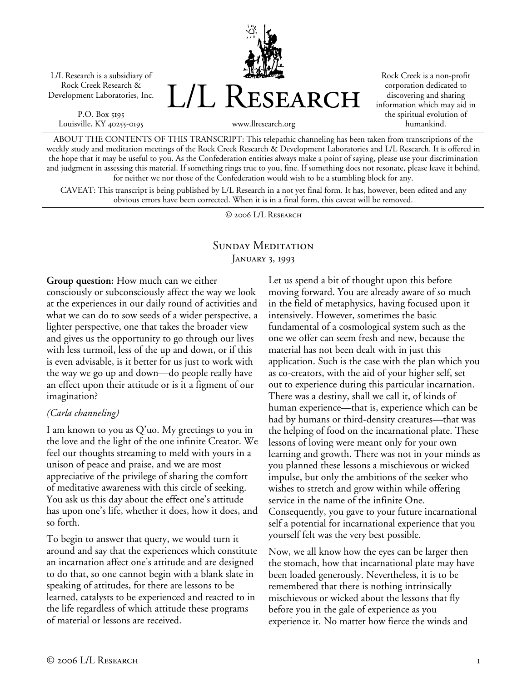L/L Research is a subsidiary of Rock Creek Research & Development Laboratories, Inc.

P.O. Box 5195 Louisville, KY 40255-0195 L/L Research

www.llresearch.org

Rock Creek is a non-profit corporation dedicated to discovering and sharing information which may aid in the spiritual evolution of humankind.

ABOUT THE CONTENTS OF THIS TRANSCRIPT: This telepathic channeling has been taken from transcriptions of the weekly study and meditation meetings of the Rock Creek Research & Development Laboratories and L/L Research. It is offered in the hope that it may be useful to you. As the Confederation entities always make a point of saying, please use your discrimination and judgment in assessing this material. If something rings true to you, fine. If something does not resonate, please leave it behind,

for neither we nor those of the Confederation would wish to be a stumbling block for any. CAVEAT: This transcript is being published by L/L Research in a not yet final form. It has, however, been edited and any obvious errors have been corrected. When it is in a final form, this caveat will be removed.

© 2006 L/L Research

## SUNDAY MEDITATION JANUARY 3, 1993

**Group question:** How much can we either consciously or subconsciously affect the way we look at the experiences in our daily round of activities and what we can do to sow seeds of a wider perspective, a lighter perspective, one that takes the broader view and gives us the opportunity to go through our lives with less turmoil, less of the up and down, or if this is even advisable, is it better for us just to work with the way we go up and down—do people really have an effect upon their attitude or is it a figment of our imagination?

## *(Carla channeling)*

I am known to you as Q'uo. My greetings to you in the love and the light of the one infinite Creator. We feel our thoughts streaming to meld with yours in a unison of peace and praise, and we are most appreciative of the privilege of sharing the comfort of meditative awareness with this circle of seeking. You ask us this day about the effect one's attitude has upon one's life, whether it does, how it does, and so forth.

To begin to answer that query, we would turn it around and say that the experiences which constitute an incarnation affect one's attitude and are designed to do that, so one cannot begin with a blank slate in speaking of attitudes, for there are lessons to be learned, catalysts to be experienced and reacted to in the life regardless of which attitude these programs of material or lessons are received.

Let us spend a bit of thought upon this before moving forward. You are already aware of so much in the field of metaphysics, having focused upon it intensively. However, sometimes the basic fundamental of a cosmological system such as the one we offer can seem fresh and new, because the material has not been dealt with in just this application. Such is the case with the plan which you as co-creators, with the aid of your higher self, set out to experience during this particular incarnation. There was a destiny, shall we call it, of kinds of human experience—that is, experience which can be had by humans or third-density creatures—that was the helping of food on the incarnational plate. These lessons of loving were meant only for your own learning and growth. There was not in your minds as you planned these lessons a mischievous or wicked impulse, but only the ambitions of the seeker who wishes to stretch and grow within while offering service in the name of the infinite One. Consequently, you gave to your future incarnational self a potential for incarnational experience that you yourself felt was the very best possible.

Now, we all know how the eyes can be larger then the stomach, how that incarnational plate may have been loaded generously. Nevertheless, it is to be remembered that there is nothing intrinsically mischievous or wicked about the lessons that fly before you in the gale of experience as you experience it. No matter how fierce the winds and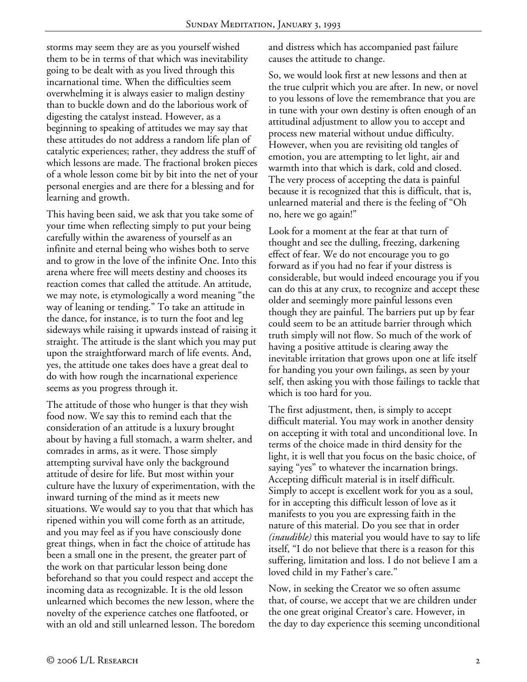storms may seem they are as you yourself wished them to be in terms of that which was inevitability going to be dealt with as you lived through this incarnational time. When the difficulties seem overwhelming it is always easier to malign destiny than to buckle down and do the laborious work of digesting the catalyst instead. However, as a beginning to speaking of attitudes we may say that these attitudes do not address a random life plan of catalytic experiences; rather, they address the stuff of which lessons are made. The fractional broken pieces of a whole lesson come bit by bit into the net of your personal energies and are there for a blessing and for learning and growth.

This having been said, we ask that you take some of your time when reflecting simply to put your being carefully within the awareness of yourself as an infinite and eternal being who wishes both to serve and to grow in the love of the infinite One. Into this arena where free will meets destiny and chooses its reaction comes that called the attitude. An attitude, we may note, is etymologically a word meaning "the way of leaning or tending." To take an attitude in the dance, for instance, is to turn the foot and leg sideways while raising it upwards instead of raising it straight. The attitude is the slant which you may put upon the straightforward march of life events. And, yes, the attitude one takes does have a great deal to do with how rough the incarnational experience seems as you progress through it.

The attitude of those who hunger is that they wish food now. We say this to remind each that the consideration of an attitude is a luxury brought about by having a full stomach, a warm shelter, and comrades in arms, as it were. Those simply attempting survival have only the background attitude of desire for life. But most within your culture have the luxury of experimentation, with the inward turning of the mind as it meets new situations. We would say to you that that which has ripened within you will come forth as an attitude, and you may feel as if you have consciously done great things, when in fact the choice of attitude has been a small one in the present, the greater part of the work on that particular lesson being done beforehand so that you could respect and accept the incoming data as recognizable. It is the old lesson unlearned which becomes the new lesson, where the novelty of the experience catches one flatfooted, or with an old and still unlearned lesson. The boredom and distress which has accompanied past failure causes the attitude to change.

So, we would look first at new lessons and then at the true culprit which you are after. In new, or novel to you lessons of love the remembrance that you are in tune with your own destiny is often enough of an attitudinal adjustment to allow you to accept and process new material without undue difficulty. However, when you are revisiting old tangles of emotion, you are attempting to let light, air and warmth into that which is dark, cold and closed. The very process of accepting the data is painful because it is recognized that this is difficult, that is, unlearned material and there is the feeling of "Oh no, here we go again!"

Look for a moment at the fear at that turn of thought and see the dulling, freezing, darkening effect of fear. We do not encourage you to go forward as if you had no fear if your distress is considerable, but would indeed encourage you if you can do this at any crux, to recognize and accept these older and seemingly more painful lessons even though they are painful. The barriers put up by fear could seem to be an attitude barrier through which truth simply will not flow. So much of the work of having a positive attitude is clearing away the inevitable irritation that grows upon one at life itself for handing you your own failings, as seen by your self, then asking you with those failings to tackle that which is too hard for you.

The first adjustment, then, is simply to accept difficult material. You may work in another density on accepting it with total and unconditional love. In terms of the choice made in third density for the light, it is well that you focus on the basic choice, of saying "yes" to whatever the incarnation brings. Accepting difficult material is in itself difficult. Simply to accept is excellent work for you as a soul, for in accepting this difficult lesson of love as it manifests to you you are expressing faith in the nature of this material. Do you see that in order *(inaudible)* this material you would have to say to life itself, "I do not believe that there is a reason for this suffering, limitation and loss. I do not believe I am a loved child in my Father's care."

Now, in seeking the Creator we so often assume that, of course, we accept that we are children under the one great original Creator's care. However, in the day to day experience this seeming unconditional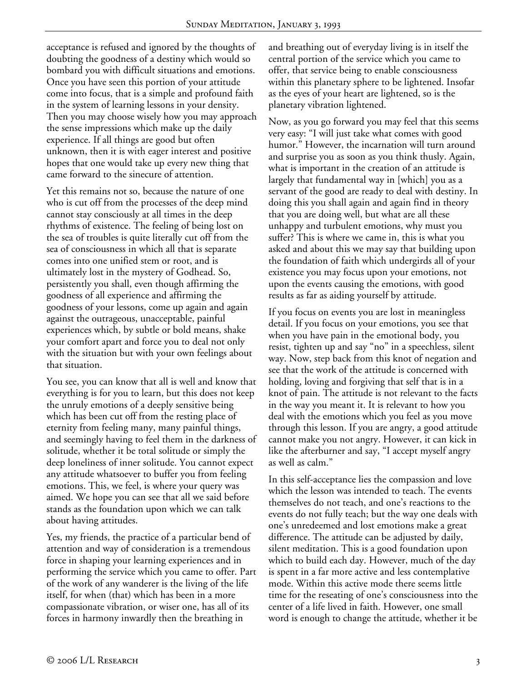acceptance is refused and ignored by the thoughts of doubting the goodness of a destiny which would so bombard you with difficult situations and emotions. Once you have seen this portion of your attitude come into focus, that is a simple and profound faith in the system of learning lessons in your density. Then you may choose wisely how you may approach the sense impressions which make up the daily experience. If all things are good but often unknown, then it is with eager interest and positive hopes that one would take up every new thing that came forward to the sinecure of attention.

Yet this remains not so, because the nature of one who is cut off from the processes of the deep mind cannot stay consciously at all times in the deep rhythms of existence. The feeling of being lost on the sea of troubles is quite literally cut off from the sea of consciousness in which all that is separate comes into one unified stem or root, and is ultimately lost in the mystery of Godhead. So, persistently you shall, even though affirming the goodness of all experience and affirming the goodness of your lessons, come up again and again against the outrageous, unacceptable, painful experiences which, by subtle or bold means, shake your comfort apart and force you to deal not only with the situation but with your own feelings about that situation.

You see, you can know that all is well and know that everything is for you to learn, but this does not keep the unruly emotions of a deeply sensitive being which has been cut off from the resting place of eternity from feeling many, many painful things, and seemingly having to feel them in the darkness of solitude, whether it be total solitude or simply the deep loneliness of inner solitude. You cannot expect any attitude whatsoever to buffer you from feeling emotions. This, we feel, is where your query was aimed. We hope you can see that all we said before stands as the foundation upon which we can talk about having attitudes.

Yes, my friends, the practice of a particular bend of attention and way of consideration is a tremendous force in shaping your learning experiences and in performing the service which you came to offer. Part of the work of any wanderer is the living of the life itself, for when (that) which has been in a more compassionate vibration, or wiser one, has all of its forces in harmony inwardly then the breathing in

and breathing out of everyday living is in itself the central portion of the service which you came to offer, that service being to enable consciousness within this planetary sphere to be lightened. Insofar as the eyes of your heart are lightened, so is the planetary vibration lightened.

Now, as you go forward you may feel that this seems very easy: "I will just take what comes with good humor." However, the incarnation will turn around and surprise you as soon as you think thusly. Again, what is important in the creation of an attitude is largely that fundamental way in [which] you as a servant of the good are ready to deal with destiny. In doing this you shall again and again find in theory that you are doing well, but what are all these unhappy and turbulent emotions, why must you suffer? This is where we came in, this is what you asked and about this we may say that building upon the foundation of faith which undergirds all of your existence you may focus upon your emotions, not upon the events causing the emotions, with good results as far as aiding yourself by attitude.

If you focus on events you are lost in meaningless detail. If you focus on your emotions, you see that when you have pain in the emotional body, you resist, tighten up and say "no" in a speechless, silent way. Now, step back from this knot of negation and see that the work of the attitude is concerned with holding, loving and forgiving that self that is in a knot of pain. The attitude is not relevant to the facts in the way you meant it. It is relevant to how you deal with the emotions which you feel as you move through this lesson. If you are angry, a good attitude cannot make you not angry. However, it can kick in like the afterburner and say, "I accept myself angry as well as calm."

In this self-acceptance lies the compassion and love which the lesson was intended to teach. The events themselves do not teach, and one's reactions to the events do not fully teach; but the way one deals with one's unredeemed and lost emotions make a great difference. The attitude can be adjusted by daily, silent meditation. This is a good foundation upon which to build each day. However, much of the day is spent in a far more active and less contemplative mode. Within this active mode there seems little time for the reseating of one's consciousness into the center of a life lived in faith. However, one small word is enough to change the attitude, whether it be